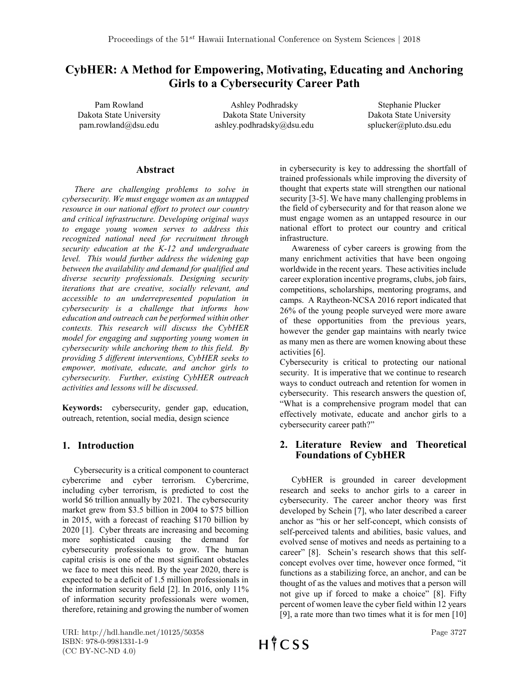# CybHER: A Method for Empowering, Motivating, Educating and Anchoring Girls to a Cybersecurity Career Path

Pam Rowland Dakota State University pam.rowland@dsu.edu

Ashley Podhradsky Dakota State University ashley.podhradsky@dsu.edu

Stephanie Plucker Dakota State University splucker@pluto.dsu.edu

### Abstract

*There are challenging problems to solve in cybersecurity. We must engage women as an untapped resource in our national effort to protect our country and critical infrastructure. Developing original ways to engage young women serves to address this recognized national need for recruitment through security education at the K-12 and undergraduate level. This would further address the widening gap between the availability and demand for qualified and diverse security professionals. Designing security iterations that are creative, socially relevant, and accessible to an underrepresented population in cybersecurity is a challenge that informs how education and outreach can be performed within other contexts. This research will discuss the CybHER model for engaging and supporting young women in cybersecurity while anchoring them to this field. By providing 5 different interventions, CybHER seeks to empower, motivate, educate, and anchor girls to cybersecurity. Further, existing CybHER outreach activities and lessons will be discussed.*

Keywords: cybersecurity, gender gap, education, outreach, retention, social media, design science

# 1. Introduction

Cybersecurity is a critical component to counteract cybercrime and cyber terrorism. Cybercrime, including cyber terrorism, is predicted to cost the world \$6 trillion annually by 2021. The cybersecurity market grew from \$3.5 billion in 2004 to \$75 billion in 2015, with a forecast of reaching \$170 billion by 2020 [1]. Cyber threats are increasing and becoming more sophisticated causing the demand for cybersecurity professionals to grow. The human capital crisis is one of the most significant obstacles we face to meet this need. By the year 2020, there is expected to be a deficit of 1.5 million professionals in the information security field [2]. In 2016, only 11% of information security professionals were women, therefore, retaining and growing the number of women

in cybersecurity is key to addressing the shortfall of trained professionals while improving the diversity of thought that experts state will strengthen our national security [3-5]. We have many challenging problems in the field of cybersecurity and for that reason alone we must engage women as an untapped resource in our national effort to protect our country and critical infrastructure.

Awareness of cyber careers is growing from the many enrichment activities that have been ongoing worldwide in the recent years. These activities include career exploration incentive programs, clubs, job fairs, competitions, scholarships, mentoring programs, and camps. A Raytheon-NCSA 2016 report indicated that 26% of the young people surveyed were more aware of these opportunities from the previous years, however the gender gap maintains with nearly twice as many men as there are women knowing about these activities [6].

Cybersecurity is critical to protecting our national security. It is imperative that we continue to research ways to conduct outreach and retention for women in cybersecurity. This research answers the question of, "What is a comprehensive program model that can effectively motivate, educate and anchor girls to a cybersecurity career path?"

# 2. Literature Review and Theoretical Foundations of CybHER

CybHER is grounded in career development research and seeks to anchor girls to a career in cybersecurity. The career anchor theory was first developed by Schein [7], who later described a career anchor as "his or her self-concept, which consists of self-perceived talents and abilities, basic values, and evolved sense of motives and needs as pertaining to a career" [8]. Schein's research shows that this selfconcept evolves over time, however once formed, "it functions as a stabilizing force, an anchor, and can be thought of as the values and motives that a person will not give up if forced to make a choice" [8]. Fifty percent of women leave the cyber field within 12 years [9], a rate more than two times what it is for men [10]

URI: http://hdl.handle.net/10125/50358 ISBN: 978-0-9981331-1-9 (CC BY-NC-ND 4.0)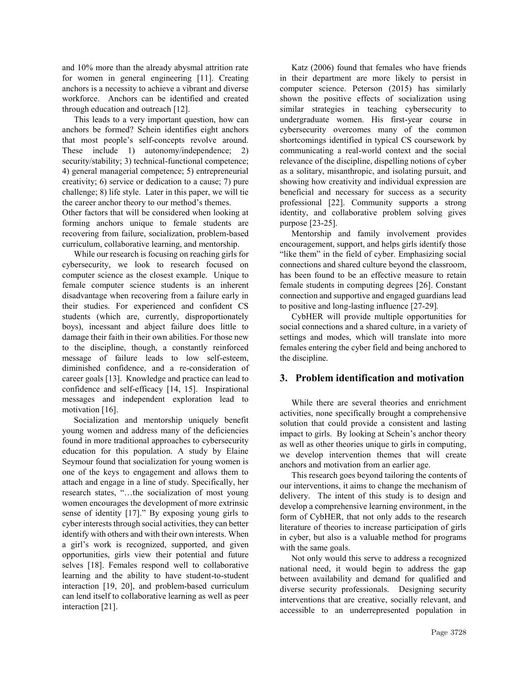and 10% more than the already abysmal attrition rate for women in general engineering [11]. Creating anchors is a necessity to achieve a vibrant and diverse workforce. Anchors can be identified and created through education and outreach [12].

This leads to a very important question, how can anchors be formed? Schein identifies eight anchors that most people's self-concepts revolve around. These include 1) autonomy/independence; 2) security/stability; 3) technical-functional competence; 4) general managerial competence; 5) entrepreneurial creativity; 6) service or dedication to a cause; 7) pure challenge; 8) life style. Later in this paper, we will tie the career anchor theory to our method's themes.

Other factors that will be considered when looking at forming anchors unique to female students are recovering from failure, socialization, problem-based curriculum, collaborative learning, and mentorship.

While our research is focusing on reaching girls for cybersecurity, we look to research focused on computer science as the closest example. Unique to female computer science students is an inherent disadvantage when recovering from a failure early in their studies. For experienced and confident CS students (which are, currently, disproportionately boys), incessant and abject failure does little to damage their faith in their own abilities. For those new to the discipline, though, a constantly reinforced message of failure leads to low self-esteem, diminished confidence, and a re-consideration of career goals [13]. Knowledge and practice can lead to confidence and self-efficacy [14, 15]. Inspirational messages and independent exploration lead to motivation [16].

Socialization and mentorship uniquely benefit young women and address many of the deficiencies found in more traditional approaches to cybersecurity education for this population. A study by Elaine Seymour found that socialization for young women is one of the keys to engagement and allows them to attach and engage in a line of study. Specifically, her research states, "…the socialization of most young women encourages the development of more extrinsic sense of identity [17]." By exposing young girls to cyber interests through social activities, they can better identify with others and with their own interests. When a girl's work is recognized, supported, and given opportunities, girls view their potential and future selves [18]. Females respond well to collaborative learning and the ability to have student-to-student interaction [19, 20], and problem-based curriculum can lend itself to collaborative learning as well as peer interaction [21].

Katz (2006) found that females who have friends in their department are more likely to persist in computer science. Peterson (2015) has similarly shown the positive effects of socialization using similar strategies in teaching cybersecurity to undergraduate women. His first-year course in cybersecurity overcomes many of the common shortcomings identified in typical CS coursework by communicating a real-world context and the social relevance of the discipline, dispelling notions of cyber as a solitary, misanthropic, and isolating pursuit, and showing how creativity and individual expression are beneficial and necessary for success as a security professional [22]. Community supports a strong identity, and collaborative problem solving gives purpose [23-25].

Mentorship and family involvement provides encouragement, support, and helps girls identify those "like them" in the field of cyber. Emphasizing social connections and shared culture beyond the classroom, has been found to be an effective measure to retain female students in computing degrees [26]. Constant connection and supportive and engaged guardians lead to positive and long-lasting influence [27-29]*.*

CybHER will provide multiple opportunities for social connections and a shared culture, in a variety of settings and modes, which will translate into more females entering the cyber field and being anchored to the discipline.

### 3. Problem identification and motivation

While there are several theories and enrichment activities, none specifically brought a comprehensive solution that could provide a consistent and lasting impact to girls. By looking at Schein's anchor theory as well as other theories unique to girls in computing, we develop intervention themes that will create anchors and motivation from an earlier age.

This research goes beyond tailoring the contents of our interventions, it aims to change the mechanism of delivery. The intent of this study is to design and develop a comprehensive learning environment, in the form of CybHER, that not only adds to the research literature of theories to increase participation of girls in cyber, but also is a valuable method for programs with the same goals.

Not only would this serve to address a recognized national need, it would begin to address the gap between availability and demand for qualified and diverse security professionals. Designing security interventions that are creative, socially relevant, and accessible to an underrepresented population in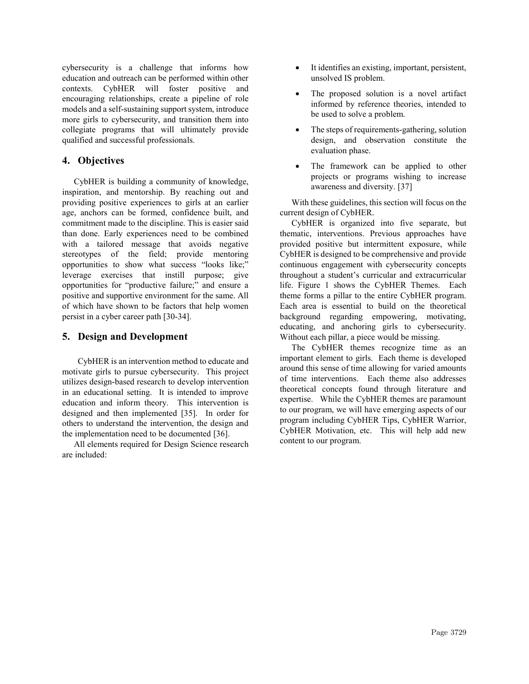cybersecurity is a challenge that informs how education and outreach can be performed within other contexts. CybHER will foster positive and encouraging relationships, create a pipeline of role models and a self-sustaining support system, introduce more girls to cybersecurity, and transition them into collegiate programs that will ultimately provide qualified and successful professionals.

### 4. Objectives

CybHER is building a community of knowledge, inspiration, and mentorship. By reaching out and providing positive experiences to girls at an earlier age, anchors can be formed, confidence built, and commitment made to the discipline. This is easier said than done. Early experiences need to be combined with a tailored message that avoids negative stereotypes of the field; provide mentoring opportunities to show what success "looks like;" leverage exercises that instill purpose; give opportunities for "productive failure;" and ensure a positive and supportive environment for the same. All of which have shown to be factors that help women persist in a cyber career path [30-34].

### 5. Design and Development

CybHER is an intervention method to educate and motivate girls to pursue cybersecurity. This project utilizes design-based research to develop intervention in an educational setting. It is intended to improve education and inform theory. This intervention is designed and then implemented [35]. In order for others to understand the intervention, the design and the implementation need to be documented [36].

All elements required for Design Science research are included:

- It identifies an existing, important, persistent, unsolved IS problem.
- The proposed solution is a novel artifact informed by reference theories, intended to be used to solve a problem.
- The steps of requirements-gathering, solution design, and observation constitute the evaluation phase.
- The framework can be applied to other projects or programs wishing to increase awareness and diversity. [37]

With these guidelines, this section will focus on the current design of CybHER.

CybHER is organized into five separate, but thematic, interventions. Previous approaches have provided positive but intermittent exposure, while CybHER is designed to be comprehensive and provide continuous engagement with cybersecurity concepts throughout a student's curricular and extracurricular life. Figure 1 shows the CybHER Themes. Each theme forms a pillar to the entire CybHER program. Each area is essential to build on the theoretical background regarding empowering, motivating, educating, and anchoring girls to cybersecurity. Without each pillar, a piece would be missing.

The CybHER themes recognize time as an important element to girls. Each theme is developed around this sense of time allowing for varied amounts of time interventions. Each theme also addresses theoretical concepts found through literature and expertise. While the CybHER themes are paramount to our program, we will have emerging aspects of our program including CybHER Tips, CybHER Warrior, CybHER Motivation, etc. This will help add new content to our program.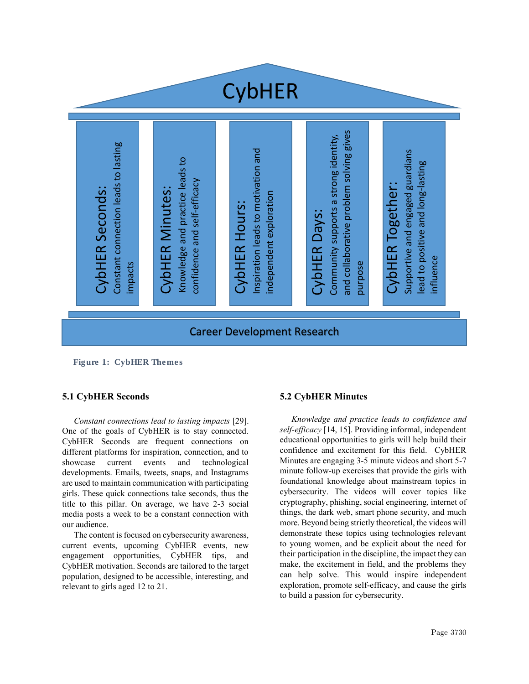

*Figure 1: CybHER Themes*

### 5.1 CybHER Seconds

*Constant connections lead to lasting impacts* [29]. One of the goals of CybHER is to stay connected. CybHER Seconds are frequent connections on different platforms for inspiration, connection, and to showcase current events and technological developments. Emails, tweets, snaps, and Instagrams are used to maintain communication with participating girls. These quick connections take seconds, thus the title to this pillar. On average, we have 2-3 social media posts a week to be a constant connection with our audience.

The content is focused on cybersecurity awareness, current events, upcoming CybHER events, new engagement opportunities, CybHER tips, and CybHER motivation. Seconds are tailored to the target population, designed to be accessible, interesting, and relevant to girls aged 12 to 21.

### 5.2 CybHER Minutes

*Knowledge and practice leads to confidence and self-efficacy* [14, 15]. Providing informal, independent educational opportunities to girls will help build their confidence and excitement for this field. CybHER Minutes are engaging 3-5 minute videos and short 5-7 minute follow-up exercises that provide the girls with foundational knowledge about mainstream topics in cybersecurity. The videos will cover topics like cryptography, phishing, social engineering, internet of things, the dark web, smart phone security, and much more. Beyond being strictly theoretical, the videos will demonstrate these topics using technologies relevant to young women, and be explicit about the need for their participation in the discipline, the impact they can make, the excitement in field, and the problems they can help solve. This would inspire independent exploration, promote self-efficacy, and cause the girls to build a passion for cybersecurity.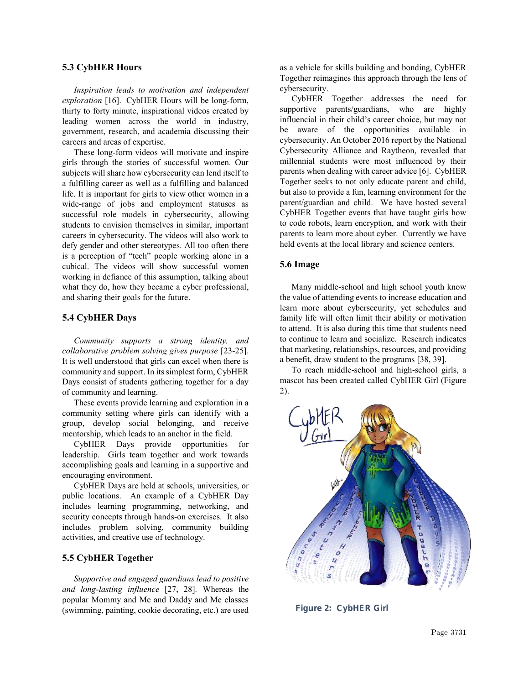#### 5.3 CybHER Hours

*Inspiration leads to motivation and independent exploration* [16]. CybHER Hours will be long-form, thirty to forty minute, inspirational videos created by leading women across the world in industry, government, research, and academia discussing their careers and areas of expertise.

These long-form videos will motivate and inspire girls through the stories of successful women. Our subjects will share how cybersecurity can lend itself to a fulfilling career as well as a fulfilling and balanced life. It is important for girls to view other women in a wide-range of jobs and employment statuses as successful role models in cybersecurity, allowing students to envision themselves in similar, important careers in cybersecurity. The videos will also work to defy gender and other stereotypes. All too often there is a perception of "tech" people working alone in a cubical. The videos will show successful women working in defiance of this assumption, talking about what they do, how they became a cyber professional, and sharing their goals for the future.

### 5.4 CybHER Days

*Community supports a strong identity, and collaborative problem solving gives purpose* [23-25]. It is well understood that girls can excel when there is community and support. In its simplest form, CybHER Days consist of students gathering together for a day of community and learning.

These events provide learning and exploration in a community setting where girls can identify with a group, develop social belonging, and receive mentorship, which leads to an anchor in the field.

CybHER Days provide opportunities for leadership. Girls team together and work towards accomplishing goals and learning in a supportive and encouraging environment.

CybHER Days are held at schools, universities, or public locations. An example of a CybHER Day includes learning programming, networking, and security concepts through hands-on exercises. It also includes problem solving, community building activities, and creative use of technology.

#### 5.5 CybHER Together

*Supportive and engaged guardians lead to positive and long-lasting influence* [27, 28]*.* Whereas the popular Mommy and Me and Daddy and Me classes (swimming, painting, cookie decorating, etc.) are used as a vehicle for skills building and bonding, CybHER Together reimagines this approach through the lens of cybersecurity.

CybHER Together addresses the need for supportive parents/guardians, who are highly influencial in their child's career choice, but may not be aware of the opportunities available in cybersecurity. An October 2016 report by the National Cybersecurity Alliance and Raytheon, revealed that millennial students were most influenced by their parents when dealing with career advice [6]. CybHER Together seeks to not only educate parent and child, but also to provide a fun, learning environment for the parent/guardian and child. We have hosted several CybHER Together events that have taught girls how to code robots, learn encryption, and work with their parents to learn more about cyber. Currently we have held events at the local library and science centers.

#### 5.6 Image

Many middle-school and high school youth know the value of attending events to increase education and learn more about cybersecurity, yet schedules and family life will often limit their ability or motivation to attend. It is also during this time that students need to continue to learn and socialize. Research indicates that marketing, relationships, resources, and providing a benefit, draw student to the programs [38, 39].

To reach middle-school and high-school girls, a mascot has been created called CybHER Girl (Figure 2).



Figure 2: CybHER Girl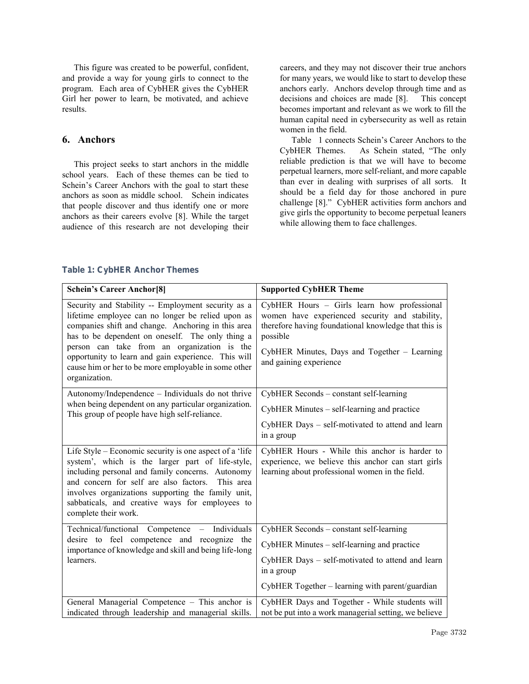This figure was created to be powerful, confident, and provide a way for young girls to connect to the program. Each area of CybHER gives the CybHER Girl her power to learn, be motivated, and achieve results.

### 6. Anchors

This project seeks to start anchors in the middle school years. Each of these themes can be tied to Schein's Career Anchors with the goal to start these anchors as soon as middle school. Schein indicates that people discover and thus identify one or more anchors as their careers evolve [8]. While the target audience of this research are not developing their careers, and they may not discover their true anchors for many years, we would like to start to develop these anchors early. Anchors develop through time and as decisions and choices are made [8]. This concept becomes important and relevant as we work to fill the human capital need in cybersecurity as well as retain women in the field.

Table 1 connects Schein's Career Anchors to the CybHER Themes. As Schein stated, "The only reliable prediction is that we will have to become perpetual learners, more self-reliant, and more capable than ever in dealing with surprises of all sorts. It should be a field day for those anchored in pure challenge [8]." CybHER activities form anchors and give girls the opportunity to become perpetual leaners while allowing them to face challenges.

| <b>Schein's Career Anchor<sup>[8]</sup></b>                                                                                                                                                                                                                                                                                                                                                      | <b>Supported CybHER Theme</b>                                                                                                                                                                                                               |
|--------------------------------------------------------------------------------------------------------------------------------------------------------------------------------------------------------------------------------------------------------------------------------------------------------------------------------------------------------------------------------------------------|---------------------------------------------------------------------------------------------------------------------------------------------------------------------------------------------------------------------------------------------|
| Security and Stability -- Employment security as a<br>lifetime employee can no longer be relied upon as<br>companies shift and change. Anchoring in this area<br>has to be dependent on oneself. The only thing a<br>person can take from an organization is the<br>opportunity to learn and gain experience. This will<br>cause him or her to be more employable in some other<br>organization. | CybHER Hours - Girls learn how professional<br>women have experienced security and stability,<br>therefore having foundational knowledge that this is<br>possible<br>CybHER Minutes, Days and Together - Learning<br>and gaining experience |
| Autonomy/Independence - Individuals do not thrive<br>when being dependent on any particular organization.<br>This group of people have high self-reliance.                                                                                                                                                                                                                                       | CybHER Seconds - constant self-learning                                                                                                                                                                                                     |
|                                                                                                                                                                                                                                                                                                                                                                                                  | CybHER Minutes - self-learning and practice                                                                                                                                                                                                 |
|                                                                                                                                                                                                                                                                                                                                                                                                  | CybHER Days - self-motivated to attend and learn<br>in a group                                                                                                                                                                              |
| Life Style – Economic security is one aspect of a 'life<br>system', which is the larger part of life-style,<br>including personal and family concerns. Autonomy<br>and concern for self are also factors. This area<br>involves organizations supporting the family unit,<br>sabbaticals, and creative ways for employees to<br>complete their work.                                             | CybHER Hours - While this anchor is harder to<br>experience, we believe this anchor can start girls<br>learning about professional women in the field.                                                                                      |
| Technical/functional Competence - Individuals<br>desire to feel competence and recognize the<br>importance of knowledge and skill and being life-long<br>learners.                                                                                                                                                                                                                               | CybHER Seconds - constant self-learning                                                                                                                                                                                                     |
|                                                                                                                                                                                                                                                                                                                                                                                                  | CybHER Minutes - self-learning and practice                                                                                                                                                                                                 |
|                                                                                                                                                                                                                                                                                                                                                                                                  | CybHER Days - self-motivated to attend and learn<br>in a group                                                                                                                                                                              |
|                                                                                                                                                                                                                                                                                                                                                                                                  | CybHER Together - learning with parent/guardian                                                                                                                                                                                             |
| General Managerial Competence - This anchor is<br>indicated through leadership and managerial skills.                                                                                                                                                                                                                                                                                            | CybHER Days and Together - While students will<br>not be put into a work managerial setting, we believe                                                                                                                                     |

#### Table 1: CybHER Anchor Themes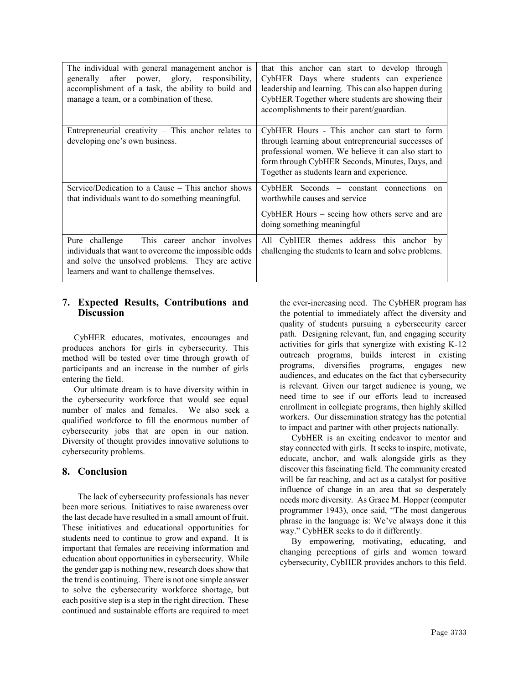| The individual with general management anchor is<br>generally after power, glory, responsibility,<br>accomplishment of a task, the ability to build and<br>manage a team, or a combination of these.    | that this anchor can start to develop through<br>CybHER Days where students can experience<br>leadership and learning. This can also happen during<br>CybHER Together where students are showing their<br>accomplishments to their parent/guardian.         |
|---------------------------------------------------------------------------------------------------------------------------------------------------------------------------------------------------------|-------------------------------------------------------------------------------------------------------------------------------------------------------------------------------------------------------------------------------------------------------------|
| Entrepreneurial creativity $-$ This anchor relates to<br>developing one's own business.                                                                                                                 | CybHER Hours - This anchor can start to form<br>through learning about entrepreneurial successes of<br>professional women. We believe it can also start to<br>form through CybHER Seconds, Minutes, Days, and<br>Together as students learn and experience. |
| Service/Dedication to a Cause $-$ This anchor shows<br>that individuals want to do something meaningful.                                                                                                | CybHER Seconds - constant connections on<br>worthwhile causes and service<br>CybHER Hours – seeing how others serve and are<br>doing something meaningful                                                                                                   |
| Pure challenge – This career anchor involves<br>individuals that want to overcome the impossible odds<br>and solve the unsolved problems. They are active<br>learners and want to challenge themselves. | All CybHER themes address this anchor by<br>challenging the students to learn and solve problems.                                                                                                                                                           |

### 7. Expected Results, Contributions and **Discussion**

CybHER educates, motivates, encourages and produces anchors for girls in cybersecurity. This method will be tested over time through growth of participants and an increase in the number of girls entering the field.

Our ultimate dream is to have diversity within in the cybersecurity workforce that would see equal number of males and females. We also seek a qualified workforce to fill the enormous number of cybersecurity jobs that are open in our nation. Diversity of thought provides innovative solutions to cybersecurity problems.

### 8. Conclusion

The lack of cybersecurity professionals has never been more serious. Initiatives to raise awareness over the last decade have resulted in a small amount of fruit. These initiatives and educational opportunities for students need to continue to grow and expand. It is important that females are receiving information and education about opportunities in cybersecurity. While the gender gap is nothing new, research does show that the trend is continuing. There is not one simple answer to solve the cybersecurity workforce shortage, but each positive step is a step in the right direction. These continued and sustainable efforts are required to meet the ever-increasing need. The CybHER program has the potential to immediately affect the diversity and quality of students pursuing a cybersecurity career path. Designing relevant, fun, and engaging security activities for girls that synergize with existing K-12 outreach programs, builds interest in existing programs, diversifies programs, engages new audiences, and educates on the fact that cybersecurity is relevant. Given our target audience is young, we need time to see if our efforts lead to increased enrollment in collegiate programs, then highly skilled workers. Our dissemination strategy has the potential to impact and partner with other projects nationally.

CybHER is an exciting endeavor to mentor and stay connected with girls. It seeks to inspire, motivate, educate, anchor, and walk alongside girls as they discover this fascinating field. The community created will be far reaching, and act as a catalyst for positive influence of change in an area that so desperately needs more diversity. As Grace M. Hopper (computer programmer 1943), once said, "The most dangerous phrase in the language is: We've always done it this way." CybHER seeks to do it differently.

By empowering, motivating, educating, and changing perceptions of girls and women toward cybersecurity, CybHER provides anchors to this field.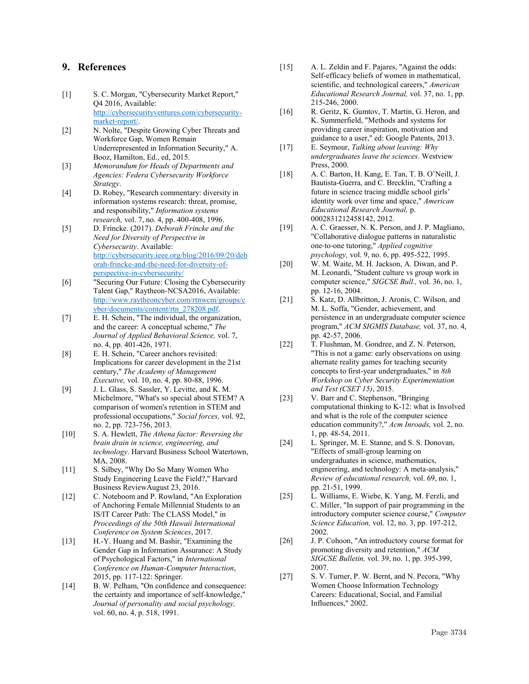### 9. References

- [1] S. C. Morgan, "Cybersecurity Market Report," Q4 2016, Available: [http://cybersecurityventures.com/cybersecurity](http://cybersecurityventures.com/cybersecurity-market-report/)[market-report/.](http://cybersecurityventures.com/cybersecurity-market-report/)
- [2] N. Nolte, "Despite Growing Cyber Threats and Workforce Gap, Women Remain Underrepresented in Information Security," A. Booz, Hamilton, Ed., ed, 2015.
- [3] *Memorandum for Heads of Departments and Agencies: Federa Cybersecurity Workforce Strategy*.
- [4] D. Robey, "Research commentary: diversity in information systems research: threat, promise, and responsibility," *Information systems research,* vol. 7, no. 4, pp. 400-408, 1996.
- [5] D. Frincke. (2017). *Deborah Frincke and the Need for Diversity of Perspective in Cybersecurity*. Available: [http://cybersecurity.ieee.org/blog/2016/09/20/deb](http://cybersecurity.ieee.org/blog/2016/09/20/deborah-frincke-and-the-need-for-diversity-of-perspective-in-cybersecurity/) [orah-frincke-and-the-need-for-diversity-of](http://cybersecurity.ieee.org/blog/2016/09/20/deborah-frincke-and-the-need-for-diversity-of-perspective-in-cybersecurity/)[perspective-in-cybersecurity/](http://cybersecurity.ieee.org/blog/2016/09/20/deborah-frincke-and-the-need-for-diversity-of-perspective-in-cybersecurity/)
- [6] "Securing Our Future: Closing the Cybersecurity Talent Gap," Raytheon-NCSA2016, Available: [http://www.raytheoncyber.com/rtnwcm/groups/c](http://www.raytheoncyber.com/rtnwcm/groups/cyber/documents/content/rtn_278208.pdf) [yber/documents/content/rtn\\_278208.pdf.](http://www.raytheoncyber.com/rtnwcm/groups/cyber/documents/content/rtn_278208.pdf)
- [7] E. H. Schein, "The individual, the organization, and the career: A conceptual scheme," *The Journal of Applied Behavioral Science,* vol. 7, no. 4, pp. 401-426, 1971.
- [8] E. H. Schein, "Career anchors revisited: Implications for career development in the 21st century," *The Academy of Management Executive,* vol. 10, no. 4, pp. 80-88, 1996.
- [9] J. L. Glass, S. Sassler, Y. Levitte, and K. M. Michelmore, "What's so special about STEM? A comparison of women's retention in STEM and professional occupations," *Social forces,* vol. 92, no. 2, pp. 723-756, 2013.
- [10] S. A. Hewlett, *The Athena factor: Reversing the brain drain in science, engineering, and technology*. Harvard Business School Watertown, MA, 2008.
- [11] S. Silbey, "Why Do So Many Women Who Study Engineering Leave the Field?," Harvard Business ReviewAugust 23, 2016.
- [12] C. Noteboom and P. Rowland, "An Exploration of Anchoring Female Millennial Students to an IS/IT Career Path: The CLASS Model," in *Proceedings of the 50th Hawaii International Conference on System Sciences*, 2017.
- [13] H.-Y. Huang and M. Bashir, "Examining the Gender Gap in Information Assurance: A Study of Psychological Factors," in *International Conference on Human-Computer Interaction*, 2015, pp. 117-122: Springer.
- [14] B. W. Pelham, "On confidence and consequence: the certainty and importance of self-knowledge," *Journal of personality and social psychology,*  vol. 60, no. 4, p. 518, 1991.
- [15] A. L. Zeldin and F. Pajares, "Against the odds: Self-efficacy beliefs of women in mathematical, scientific, and technological careers," *American Educational Research Journal,* vol. 37, no. 1, pp. 215-246, 2000.
- [16] R. Geritz, K. Gumtov, T. Martin, G. Heron, and K. Summerfield, "Methods and systems for providing career inspiration, motivation and guidance to a user," ed: Google Patents, 2013.
- [17] E. Seymour, *Talking about leaving: Why undergraduates leave the sciences*. Westview Press, 2000.
- [18] A. C. Barton, H. Kang, E. Tan, T. B. O'Neill, J. Bautista-Guerra, and C. Brecklin, "Crafting a future in science tracing middle school girls' identity work over time and space," *American Educational Research Journal,* p. 0002831212458142, 2012.
- [19] A. C. Graesser, N. K. Person, and J. P. Magliano, "Collaborative dialogue patterns in naturalistic one-to-one tutoring," *Applied cognitive psychology,* vol. 9, no. 6, pp. 495-522, 1995.
- [20] W. M. Waite, M. H. Jackson, A. Diwan, and P. M. Leonardi, "Student culture vs group work in computer science," *SIGCSE Bull.,* vol. 36, no. 1, pp. 12-16, 2004.
- [21] S. Katz, D. Allbritton, J. Aronis, C. Wilson, and M. L. Soffa, "Gender, achievement, and persistence in an undergraduate computer science program," *ACM SIGMIS Database,* vol. 37, no. 4, pp. 42-57, 2006.
- [22] T. Flushman, M. Gondree, and Z. N. Peterson, "This is not a game: early observations on using alternate reality games for teaching security concepts to first-year undergraduates," in *8th Workshop on Cyber Security Experimentation and Test (CSET 15)*, 2015.
- [23] V. Barr and C. Stephenson, "Bringing computational thinking to K-12: what is Involved and what is the role of the computer science education community?," *Acm Inroads,* vol. 2, no. 1, pp. 48-54, 2011.
- [24] L. Springer, M. E. Stanne, and S. S. Donovan, "Effects of small-group learning on undergraduates in science, mathematics, engineering, and technology: A meta-analysis," *Review of educational research,* vol. 69, no. 1, pp. 21-51, 1999.
- [25] L. Williams, E. Wiebe, K. Yang, M. Ferzli, and C. Miller, "In support of pair programming in the introductory computer science course," *Computer Science Education,* vol. 12, no. 3, pp. 197-212, 2002.
- [26] J. P. Cohoon, "An introductory course format for promoting diversity and retention," *ACM SIGCSE Bulletin,* vol. 39, no. 1, pp. 395-399, 2007.
- [27] S. V. Turner, P. W. Bernt, and N. Pecora, "Why Women Choose Information Technology Careers: Educational, Social, and Familial Influences," 2002.